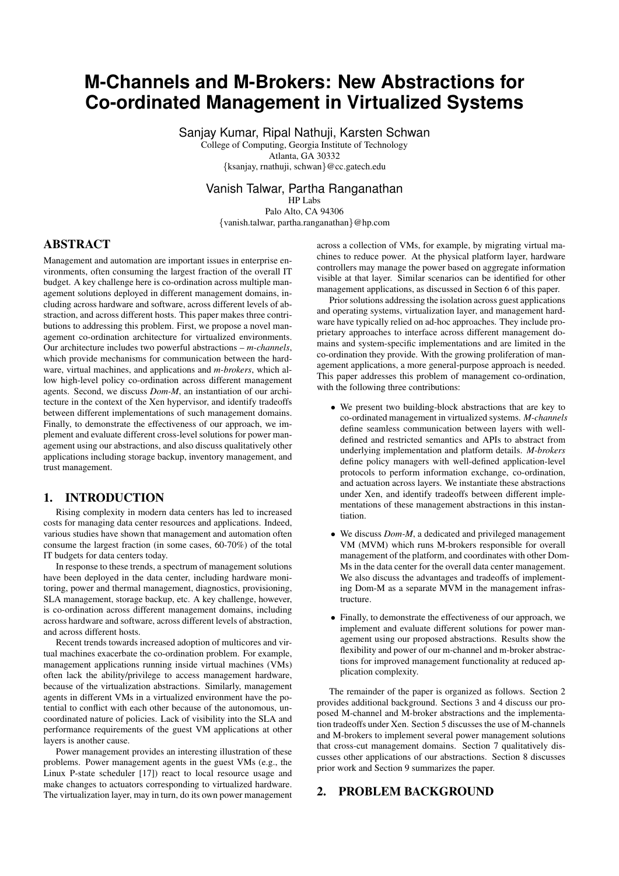# **M-Channels and M-Brokers: New Abstractions for Co-ordinated Management in Virtualized Systems**

Sanjay Kumar, Ripal Nathuji, Karsten Schwan

College of Computing, Georgia Institute of Technology Atlanta, GA 30332

{ksanjay, rnathuji, schwan}@cc.gatech.edu

# Vanish Talwar, Partha Ranganathan

HP Labs Palo Alto, CA 94306 {vanish.talwar, partha.ranganathan}@hp.com

# ABSTRACT

Management and automation are important issues in enterprise environments, often consuming the largest fraction of the overall IT budget. A key challenge here is co-ordination across multiple management solutions deployed in different management domains, including across hardware and software, across different levels of abstraction, and across different hosts. This paper makes three contributions to addressing this problem. First, we propose a novel management co-ordination architecture for virtualized environments. Our architecture includes two powerful abstractions – *m-channels*, which provide mechanisms for communication between the hardware, virtual machines, and applications and *m-brokers*, which allow high-level policy co-ordination across different management agents. Second, we discuss *Dom-M*, an instantiation of our architecture in the context of the Xen hypervisor, and identify tradeoffs between different implementations of such management domains. Finally, to demonstrate the effectiveness of our approach, we implement and evaluate different cross-level solutions for power management using our abstractions, and also discuss qualitatively other applications including storage backup, inventory management, and trust management.

# 1. INTRODUCTION

Rising complexity in modern data centers has led to increased costs for managing data center resources and applications. Indeed, various studies have shown that management and automation often consume the largest fraction (in some cases, 60-70%) of the total IT budgets for data centers today.

In response to these trends, a spectrum of management solutions have been deployed in the data center, including hardware monitoring, power and thermal management, diagnostics, provisioning, SLA management, storage backup, etc. A key challenge, however, is co-ordination across different management domains, including across hardware and software, across different levels of abstraction, and across different hosts.

Recent trends towards increased adoption of multicores and virtual machines exacerbate the co-ordination problem. For example, management applications running inside virtual machines (VMs) often lack the ability/privilege to access management hardware, because of the virtualization abstractions. Similarly, management agents in different VMs in a virtualized environment have the potential to conflict with each other because of the autonomous, uncoordinated nature of policies. Lack of visibility into the SLA and performance requirements of the guest VM applications at other layers is another cause.

Power management provides an interesting illustration of these problems. Power management agents in the guest VMs (e.g., the Linux P-state scheduler [17]) react to local resource usage and make changes to actuators corresponding to virtualized hardware. The virtualization layer, may in turn, do its own power management across a collection of VMs, for example, by migrating virtual machines to reduce power. At the physical platform layer, hardware controllers may manage the power based on aggregate information visible at that layer. Similar scenarios can be identified for other management applications, as discussed in Section 6 of this paper.

Prior solutions addressing the isolation across guest applications and operating systems, virtualization layer, and management hardware have typically relied on ad-hoc approaches. They include proprietary approaches to interface across different management domains and system-specific implementations and are limited in the co-ordination they provide. With the growing proliferation of management applications, a more general-purpose approach is needed. This paper addresses this problem of management co-ordination, with the following three contributions:

- We present two building-block abstractions that are key to co-ordinated management in virtualized systems. *M-channels* define seamless communication between layers with welldefined and restricted semantics and APIs to abstract from underlying implementation and platform details. *M-brokers* define policy managers with well-defined application-level protocols to perform information exchange, co-ordination, and actuation across layers. We instantiate these abstractions under Xen, and identify tradeoffs between different implementations of these management abstractions in this instantiation.
- We discuss *Dom-M*, a dedicated and privileged management VM (MVM) which runs M-brokers responsible for overall management of the platform, and coordinates with other Dom-Ms in the data center for the overall data center management. We also discuss the advantages and tradeoffs of implementing Dom-M as a separate MVM in the management infrastructure.
- Finally, to demonstrate the effectiveness of our approach, we implement and evaluate different solutions for power management using our proposed abstractions. Results show the flexibility and power of our m-channel and m-broker abstractions for improved management functionality at reduced application complexity.

The remainder of the paper is organized as follows. Section 2 provides additional background. Sections 3 and 4 discuss our proposed M-channel and M-broker abstractions and the implementation tradeoffs under Xen. Section 5 discusses the use of M-channels and M-brokers to implement several power management solutions that cross-cut management domains. Section 7 qualitatively discusses other applications of our abstractions. Section 8 discusses prior work and Section 9 summarizes the paper.

# 2. PROBLEM BACKGROUND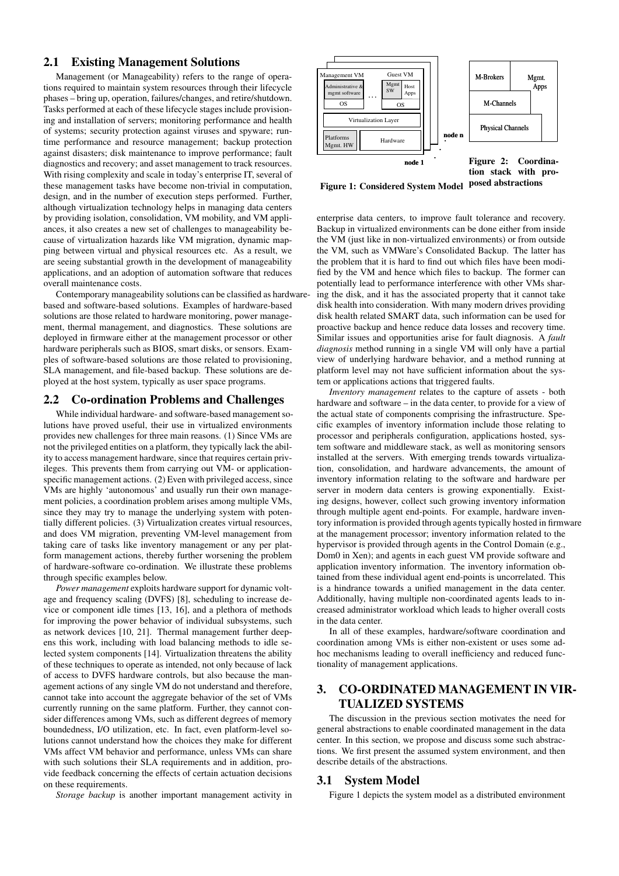## 2.1 Existing Management Solutions

Management (or Manageability) refers to the range of operations required to maintain system resources through their lifecycle phases – bring up, operation, failures/changes, and retire/shutdown. Tasks performed at each of these lifecycle stages include provisioning and installation of servers; monitoring performance and health of systems; security protection against viruses and spyware; runtime performance and resource management; backup protection against disasters; disk maintenance to improve performance; fault diagnostics and recovery; and asset management to track resources. With rising complexity and scale in today's enterprise IT, several of these management tasks have become non-trivial in computation, design, and in the number of execution steps performed. Further, although virtualization technology helps in managing data centers by providing isolation, consolidation, VM mobility, and VM appliances, it also creates a new set of challenges to manageability because of virtualization hazards like VM migration, dynamic mapping between virtual and physical resources etc. As a result, we are seeing substantial growth in the development of manageability applications, and an adoption of automation software that reduces overall maintenance costs.

Contemporary manageability solutions can be classified as hardwarebased and software-based solutions. Examples of hardware-based solutions are those related to hardware monitoring, power management, thermal management, and diagnostics. These solutions are deployed in firmware either at the management processor or other hardware peripherals such as BIOS, smart disks, or sensors. Examples of software-based solutions are those related to provisioning, SLA management, and file-based backup. These solutions are deployed at the host system, typically as user space programs.

## 2.2 Co-ordination Problems and Challenges

While individual hardware- and software-based management solutions have proved useful, their use in virtualized environments provides new challenges for three main reasons. (1) Since VMs are not the privileged entities on a platform, they typically lack the ability to access management hardware, since that requires certain privileges. This prevents them from carrying out VM- or applicationspecific management actions. (2) Even with privileged access, since VMs are highly 'autonomous' and usually run their own management policies, a coordination problem arises among multiple VMs, since they may try to manage the underlying system with potentially different policies. (3) Virtualization creates virtual resources, and does VM migration, preventing VM-level management from taking care of tasks like inventory management or any per platform management actions, thereby further worsening the problem of hardware-software co-ordination. We illustrate these problems through specific examples below.

*Power management* exploits hardware support for dynamic voltage and frequency scaling (DVFS) [8], scheduling to increase device or component idle times [13, 16], and a plethora of methods for improving the power behavior of individual subsystems, such as network devices [10, 21]. Thermal management further deepens this work, including with load balancing methods to idle selected system components [14]. Virtualization threatens the ability of these techniques to operate as intended, not only because of lack of access to DVFS hardware controls, but also because the management actions of any single VM do not understand and therefore, cannot take into account the aggregate behavior of the set of VMs currently running on the same platform. Further, they cannot consider differences among VMs, such as different degrees of memory boundedness, I/O utilization, etc. In fact, even platform-level solutions cannot understand how the choices they make for different VMs affect VM behavior and performance, unless VMs can share with such solutions their SLA requirements and in addition, provide feedback concerning the effects of certain actuation decisions on these requirements.

*Storage backup* is another important management activity in



Figure 1: Considered System Model posed abstractions

enterprise data centers, to improve fault tolerance and recovery. Backup in virtualized environments can be done either from inside the VM (just like in non-virtualized environments) or from outside the VM, such as VMWare's Consolidated Backup. The latter has the problem that it is hard to find out which files have been modified by the VM and hence which files to backup. The former can potentially lead to performance interference with other VMs sharing the disk, and it has the associated property that it cannot take disk health into consideration. With many modern drives providing disk health related SMART data, such information can be used for proactive backup and hence reduce data losses and recovery time. Similar issues and opportunities arise for fault diagnosis. A *fault diagnosis* method running in a single VM will only have a partial view of underlying hardware behavior, and a method running at platform level may not have sufficient information about the system or applications actions that triggered faults.

*Inventory management* relates to the capture of assets - both hardware and software – in the data center, to provide for a view of the actual state of components comprising the infrastructure. Specific examples of inventory information include those relating to processor and peripherals configuration, applications hosted, system software and middleware stack, as well as monitoring sensors installed at the servers. With emerging trends towards virtualization, consolidation, and hardware advancements, the amount of inventory information relating to the software and hardware per server in modern data centers is growing exponentially. Existing designs, however, collect such growing inventory information through multiple agent end-points. For example, hardware inventory information is provided through agents typically hosted in firmware at the management processor; inventory information related to the hypervisor is provided through agents in the Control Domain (e.g., Dom0 in Xen); and agents in each guest VM provide software and application inventory information. The inventory information obtained from these individual agent end-points is uncorrelated. This is a hindrance towards a unified management in the data center. Additionally, having multiple non-coordinated agents leads to increased administrator workload which leads to higher overall costs in the data center.

In all of these examples, hardware/software coordination and coordination among VMs is either non-existent or uses some adhoc mechanisms leading to overall inefficiency and reduced functionality of management applications.

# 3. CO-ORDINATED MANAGEMENT IN VIR-TUALIZED SYSTEMS

The discussion in the previous section motivates the need for general abstractions to enable coordinated management in the data center. In this section, we propose and discuss some such abstractions. We first present the assumed system environment, and then describe details of the abstractions.

#### 3.1 System Model

Figure 1 depicts the system model as a distributed environment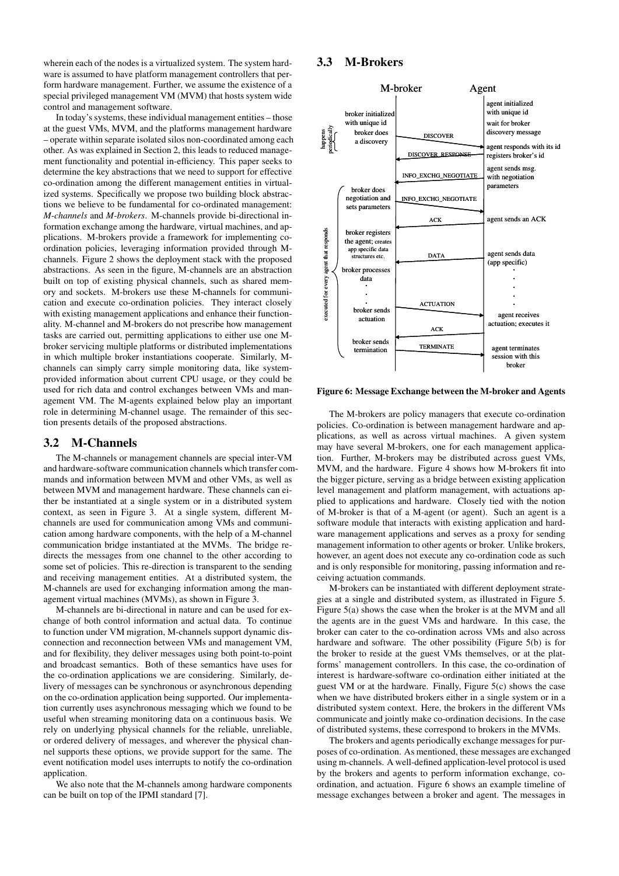wherein each of the nodes is a virtualized system. The system hardware is assumed to have platform management controllers that perform hardware management. Further, we assume the existence of a special privileged management VM (MVM) that hosts system wide control and management software.

In today's systems, these individual management entities – those at the guest VMs, MVM, and the platforms management hardware – operate within separate isolated silos non-coordinated among each other. As was explained in Section 2, this leads to reduced management functionality and potential in-efficiency. This paper seeks to determine the key abstractions that we need to support for effective co-ordination among the different management entities in virtualized systems. Specifically we propose two building block abstractions we believe to be fundamental for co-ordinated management: *M-channels* and *M-brokers*. M-channels provide bi-directional information exchange among the hardware, virtual machines, and applications. M-brokers provide a framework for implementing coordination policies, leveraging information provided through Mchannels. Figure 2 shows the deployment stack with the proposed abstractions. As seen in the figure, M-channels are an abstraction built on top of existing physical channels, such as shared memory and sockets. M-brokers use these M-channels for communication and execute co-ordination policies. They interact closely with existing management applications and enhance their functionality. M-channel and M-brokers do not prescribe how management tasks are carried out, permitting applications to either use one Mbroker servicing multiple platforms or distributed implementations in which multiple broker instantiations cooperate. Similarly, Mchannels can simply carry simple monitoring data, like systemprovided information about current CPU usage, or they could be used for rich data and control exchanges between VMs and management VM. The M-agents explained below play an important role in determining M-channel usage. The remainder of this section presents details of the proposed abstractions.

#### 3.2 M-Channels

The M-channels or management channels are special inter-VM and hardware-software communication channels which transfer commands and information between MVM and other VMs, as well as between MVM and management hardware. These channels can either be instantiated at a single system or in a distributed system context, as seen in Figure 3. At a single system, different Mchannels are used for communication among VMs and communication among hardware components, with the help of a M-channel communication bridge instantiated at the MVMs. The bridge redirects the messages from one channel to the other according to some set of policies. This re-direction is transparent to the sending and receiving management entities. At a distributed system, the M-channels are used for exchanging information among the management virtual machines (MVMs), as shown in Figure 3.

M-channels are bi-directional in nature and can be used for exchange of both control information and actual data. To continue to function under VM migration, M-channels support dynamic disconnection and reconnection between VMs and management VM, and for flexibility, they deliver messages using both point-to-point and broadcast semantics. Both of these semantics have uses for the co-ordination applications we are considering. Similarly, delivery of messages can be synchronous or asynchronous depending on the co-ordination application being supported. Our implementation currently uses asynchronous messaging which we found to be useful when streaming monitoring data on a continuous basis. We rely on underlying physical channels for the reliable, unreliable, or ordered delivery of messages, and wherever the physical channel supports these options, we provide support for the same. The event notification model uses interrupts to notify the co-ordination application.

We also note that the M-channels among hardware components can be built on top of the IPMI standard [7].

# 3.3 M-Brokers



Figure 6: Message Exchange between the M-broker and Agents

The M-brokers are policy managers that execute co-ordination policies. Co-ordination is between management hardware and applications, as well as across virtual machines. A given system may have several M-brokers, one for each management application. Further, M-brokers may be distributed across guest VMs, MVM, and the hardware. Figure 4 shows how M-brokers fit into the bigger picture, serving as a bridge between existing application level management and platform management, with actuations applied to applications and hardware. Closely tied with the notion of M-broker is that of a M-agent (or agent). Such an agent is a software module that interacts with existing application and hardware management applications and serves as a proxy for sending management information to other agents or broker. Unlike brokers, however, an agent does not execute any co-ordination code as such and is only responsible for monitoring, passing information and receiving actuation commands.

M-brokers can be instantiated with different deployment strategies at a single and distributed system, as illustrated in Figure 5. Figure 5(a) shows the case when the broker is at the MVM and all the agents are in the guest VMs and hardware. In this case, the broker can cater to the co-ordination across VMs and also across hardware and software. The other possibility (Figure 5(b) is for the broker to reside at the guest VMs themselves, or at the platforms' management controllers. In this case, the co-ordination of interest is hardware-software co-ordination either initiated at the guest VM or at the hardware. Finally, Figure 5(c) shows the case when we have distributed brokers either in a single system or in a distributed system context. Here, the brokers in the different VMs communicate and jointly make co-ordination decisions. In the case of distributed systems, these correspond to brokers in the MVMs.

The brokers and agents periodically exchange messages for purposes of co-ordination. As mentioned, these messages are exchanged using m-channels. A well-defined application-level protocol is used by the brokers and agents to perform information exchange, coordination, and actuation. Figure 6 shows an example timeline of message exchanges between a broker and agent. The messages in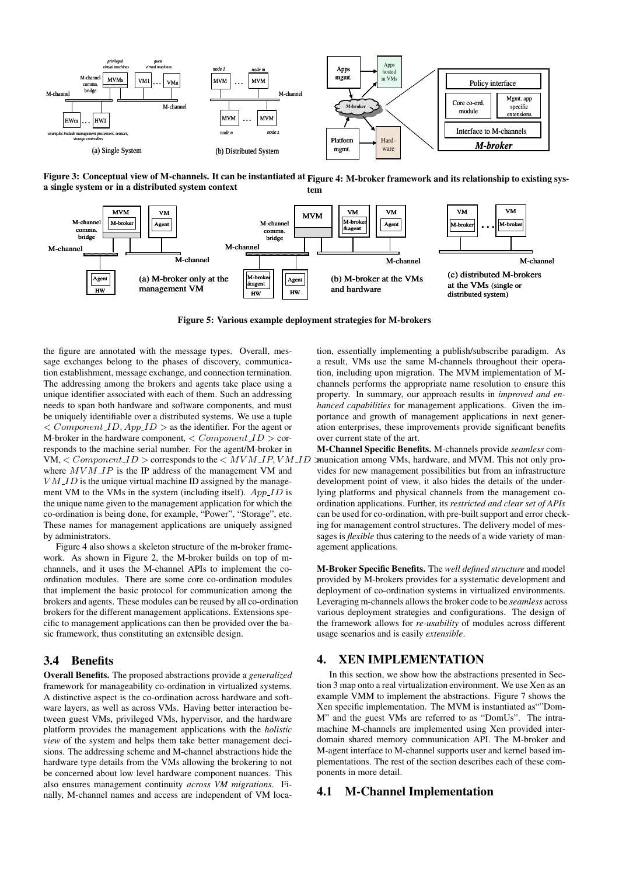

Figure 3: Conceptual view of M-channels. It can be instantiated at Figure 4: M-broker framework and its relationship to existing sysa single system or in a distributed system context tem



Figure 5: Various example deployment strategies for M-brokers

the figure are annotated with the message types. Overall, message exchanges belong to the phases of discovery, communication establishment, message exchange, and connection termination. The addressing among the brokers and agents take place using a unique identifier associated with each of them. Such an addressing needs to span both hardware and software components, and must be uniquely identifiable over a distributed systems. We use a tuple  $\langle$  Component ID, App ID  $>$  as the identifier. For the agent or M-broker in the hardware component,  $\langle\textit{Component\_ID}\rangle$  corresponds to the machine serial number. For the agent/M-broker in VM,  $\leq$  Component  $ID$   $>$  corresponds to the  $\leq$   $MVM$   $IP$ ,  $VM$   $ID$ where  $MVM$  *IP* is the IP address of the management VM and  $VM$  *ID* is the unique virtual machine *ID* assigned by the management VM to the VMs in the system (including itself).  $App\_ID$  is the unique name given to the management application for which the co-ordination is being done, for example, "Power", "Storage", etc. These names for management applications are uniquely assigned by administrators.

Figure 4 also shows a skeleton structure of the m-broker framework. As shown in Figure 2, the M-broker builds on top of mchannels, and it uses the M-channel APIs to implement the coordination modules. There are some core co-ordination modules that implement the basic protocol for communication among the brokers and agents. These modules can be reused by all co-ordination brokers for the different management applications. Extensions specific to management applications can then be provided over the basic framework, thus constituting an extensible design.

## 3.4 Benefits

Overall Benefits. The proposed abstractions provide a *generalized* framework for manageability co-ordination in virtualized systems. A distinctive aspect is the co-ordination across hardware and software layers, as well as across VMs. Having better interaction between guest VMs, privileged VMs, hypervisor, and the hardware platform provides the management applications with the *holistic view* of the system and helps them take better management decisions. The addressing scheme and M-channel abstractions hide the hardware type details from the VMs allowing the brokering to not be concerned about low level hardware component nuances. This also ensures management continuity *across VM migrations*. Finally, M-channel names and access are independent of VM location, essentially implementing a publish/subscribe paradigm. As a result, VMs use the same M-channels throughout their operation, including upon migration. The MVM implementation of Mchannels performs the appropriate name resolution to ensure this property. In summary, our approach results in *improved and enhanced capabilities* for management applications. Given the importance and growth of management applications in next generation enterprises, these improvements provide significant benefits over current state of the art.

M-Channel Specific Benefits. M-channels provide *seamless* communication among VMs, hardware, and MVM. This not only provides for new management possibilities but from an infrastructure development point of view, it also hides the details of the underlying platforms and physical channels from the management coordination applications. Further, its *restricted and clear set of APIs* can be used for co-ordination, with pre-built support and error checking for management control structures. The delivery model of messages is *flexible* thus catering to the needs of a wide variety of management applications.

M-Broker Specific Benefits. The *well defined structure* and model provided by M-brokers provides for a systematic development and deployment of co-ordination systems in virtualized environments. Leveraging m-channels allows the broker code to be *seamless* across various deployment strategies and configurations. The design of the framework allows for *re-usability* of modules across different usage scenarios and is easily *extensible*.

# 4. XEN IMPLEMENTATION

In this section, we show how the abstractions presented in Section 3 map onto a real virtualization environment. We use Xen as an example VMM to implement the abstractions. Figure 7 shows the Xen specific implementation. The MVM is instantiated as""Dom-M" and the guest VMs are referred to as "DomUs". The intramachine M-channels are implemented using Xen provided interdomain shared memory communication API. The M-broker and M-agent interface to M-channel supports user and kernel based implementations. The rest of the section describes each of these components in more detail.

# 4.1 M-Channel Implementation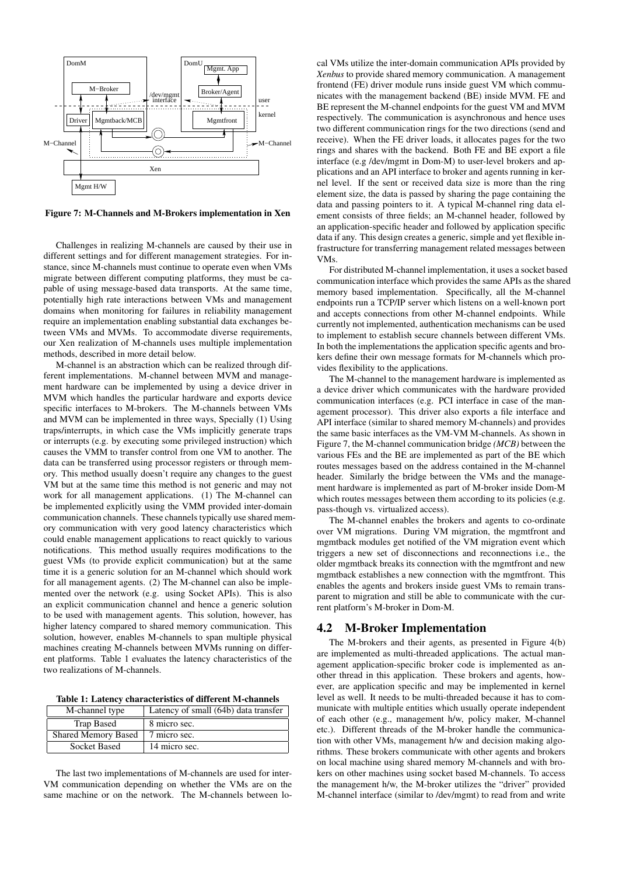

Figure 7: M-Channels and M-Brokers implementation in Xen

Challenges in realizing M-channels are caused by their use in different settings and for different management strategies. For instance, since M-channels must continue to operate even when VMs migrate between different computing platforms, they must be capable of using message-based data transports. At the same time, potentially high rate interactions between VMs and management domains when monitoring for failures in reliability management require an implementation enabling substantial data exchanges between VMs and MVMs. To accommodate diverse requirements, our Xen realization of M-channels uses multiple implementation methods, described in more detail below.

M-channel is an abstraction which can be realized through different implementations. M-channel between MVM and management hardware can be implemented by using a device driver in MVM which handles the particular hardware and exports device specific interfaces to M-brokers. The M-channels between VMs and MVM can be implemented in three ways, Specially (1) Using traps/interrupts, in which case the VMs implicitly generate traps or interrupts (e.g. by executing some privileged instruction) which causes the VMM to transfer control from one VM to another. The data can be transferred using processor registers or through memory. This method usually doesn't require any changes to the guest VM but at the same time this method is not generic and may not work for all management applications. (1) The M-channel can be implemented explicitly using the VMM provided inter-domain communication channels. These channels typically use shared memory communication with very good latency characteristics which could enable management applications to react quickly to various notifications. This method usually requires modifications to the guest VMs (to provide explicit communication) but at the same time it is a generic solution for an M-channel which should work for all management agents. (2) The M-channel can also be implemented over the network (e.g. using Socket APIs). This is also an explicit communication channel and hence a generic solution to be used with management agents. This solution, however, has higher latency compared to shared memory communication. This solution, however, enables M-channels to span multiple physical machines creating M-channels between MVMs running on different platforms. Table 1 evaluates the latency characteristics of the two realizations of M-channels.

Table 1: Latency characteristics of different M-channels

| M-channel type             | Latency of small (64b) data transfer |  |
|----------------------------|--------------------------------------|--|
| Trap Based                 | 8 micro sec.                         |  |
| <b>Shared Memory Based</b> | 7 micro sec.                         |  |
| <b>Socket Based</b>        | 14 micro sec.                        |  |

The last two implementations of M-channels are used for inter-VM communication depending on whether the VMs are on the same machine or on the network. The M-channels between local VMs utilize the inter-domain communication APIs provided by *Xenbus* to provide shared memory communication. A management frontend (FE) driver module runs inside guest VM which communicates with the management backend (BE) inside MVM. FE and BE represent the M-channel endpoints for the guest VM and MVM respectively. The communication is asynchronous and hence uses two different communication rings for the two directions (send and receive). When the FE driver loads, it allocates pages for the two rings and shares with the backend. Both FE and BE export a file interface (e.g /dev/mgmt in Dom-M) to user-level brokers and applications and an API interface to broker and agents running in kernel level. If the sent or received data size is more than the ring element size, the data is passed by sharing the page containing the data and passing pointers to it. A typical M-channel ring data element consists of three fields; an M-channel header, followed by an application-specific header and followed by application specific data if any. This design creates a generic, simple and yet flexible infrastructure for transferring management related messages between VMs.

For distributed M-channel implementation, it uses a socket based communication interface which provides the same APIs as the shared memory based implementation. Specifically, all the M-channel endpoints run a TCP/IP server which listens on a well-known port and accepts connections from other M-channel endpoints. While currently not implemented, authentication mechanisms can be used to implement to establish secure channels between different VMs. In both the implementations the application specific agents and brokers define their own message formats for M-channels which provides flexibility to the applications.

The M-channel to the management hardware is implemented as a device driver which communicates with the hardware provided communication interfaces (e.g. PCI interface in case of the management processor). This driver also exports a file interface and API interface (similar to shared memory M-channels) and provides the same basic interfaces as the VM-VM M-channels. As shown in Figure 7, the M-channel communication bridge *(MCB)* between the various FEs and the BE are implemented as part of the BE which routes messages based on the address contained in the M-channel header. Similarly the bridge between the VMs and the management hardware is implemented as part of M-broker inside Dom-M which routes messages between them according to its policies (e.g. pass-though vs. virtualized access).

The M-channel enables the brokers and agents to co-ordinate over VM migrations. During VM migration, the mgmtfront and mgmtback modules get notified of the VM migration event which triggers a new set of disconnections and reconnections i.e., the older mgmtback breaks its connection with the mgmtfront and new mgmtback establishes a new connection with the mgmtfront. This enables the agents and brokers inside guest VMs to remain transparent to migration and still be able to communicate with the current platform's M-broker in Dom-M.

### 4.2 M-Broker Implementation

The M-brokers and their agents, as presented in Figure 4(b) are implemented as multi-threaded applications. The actual management application-specific broker code is implemented as another thread in this application. These brokers and agents, however, are application specific and may be implemented in kernel level as well. It needs to be multi-threaded because it has to communicate with multiple entities which usually operate independent of each other (e.g., management h/w, policy maker, M-channel etc.). Different threads of the M-broker handle the communication with other VMs, management h/w and decision making algorithms. These brokers communicate with other agents and brokers on local machine using shared memory M-channels and with brokers on other machines using socket based M-channels. To access the management h/w, the M-broker utilizes the "driver" provided M-channel interface (similar to /dev/mgmt) to read from and write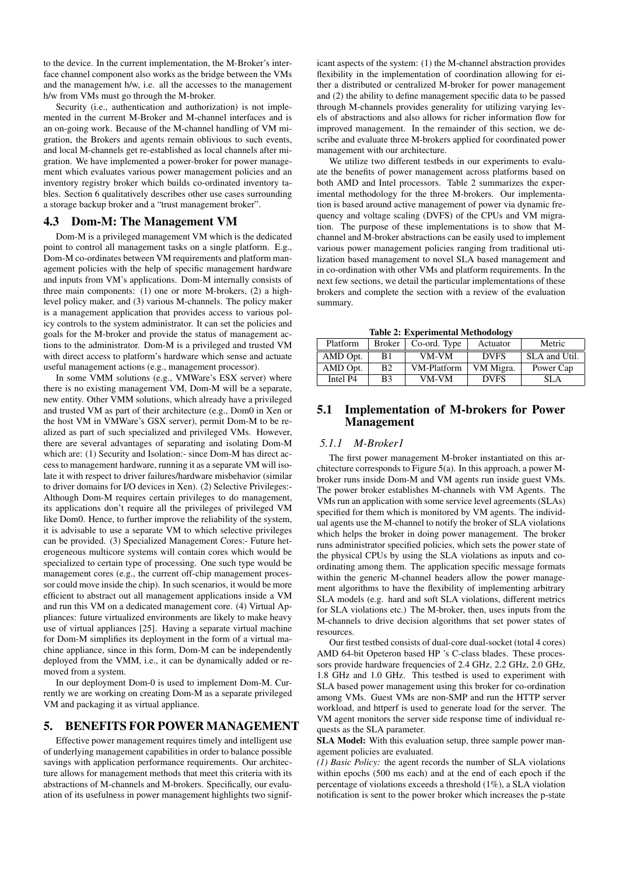to the device. In the current implementation, the M-Broker's interface channel component also works as the bridge between the VMs and the management h/w, i.e. all the accesses to the management h/w from VMs must go through the M-broker.

Security (i.e., authentication and authorization) is not implemented in the current M-Broker and M-channel interfaces and is an on-going work. Because of the M-channel handling of VM migration, the Brokers and agents remain oblivious to such events, and local M-channels get re-established as local channels after migration. We have implemented a power-broker for power management which evaluates various power management policies and an inventory registry broker which builds co-ordinated inventory tables. Section 6 qualitatively describes other use cases surrounding a storage backup broker and a "trust management broker".

### 4.3 Dom-M: The Management VM

Dom-M is a privileged management VM which is the dedicated point to control all management tasks on a single platform. E.g., Dom-M co-ordinates between VM requirements and platform management policies with the help of specific management hardware and inputs from VM's applications. Dom-M internally consists of three main components: (1) one or more M-brokers, (2) a highlevel policy maker, and (3) various M-channels. The policy maker is a management application that provides access to various policy controls to the system administrator. It can set the policies and goals for the M-broker and provide the status of management actions to the administrator. Dom-M is a privileged and trusted VM with direct access to platform's hardware which sense and actuate useful management actions (e.g., management processor).

In some VMM solutions (e.g., VMWare's ESX server) where there is no existing management VM, Dom-M will be a separate, new entity. Other VMM solutions, which already have a privileged and trusted VM as part of their architecture (e.g., Dom0 in Xen or the host VM in VMWare's GSX server), permit Dom-M to be realized as part of such specialized and privileged VMs. However, there are several advantages of separating and isolating Dom-M which are: (1) Security and Isolation:- since Dom-M has direct access to management hardware, running it as a separate VM will isolate it with respect to driver failures/hardware misbehavior (similar to driver domains for I/O devices in Xen). (2) Selective Privileges:- Although Dom-M requires certain privileges to do management, its applications don't require all the privileges of privileged VM like Dom0. Hence, to further improve the reliability of the system, it is advisable to use a separate VM to which selective privileges can be provided. (3) Specialized Management Cores:- Future heterogeneous multicore systems will contain cores which would be specialized to certain type of processing. One such type would be management cores (e.g., the current off-chip management processor could move inside the chip). In such scenarios, it would be more efficient to abstract out all management applications inside a VM and run this VM on a dedicated management core. (4) Virtual Appliances: future virtualized environments are likely to make heavy use of virtual appliances [25]. Having a separate virtual machine for Dom-M simplifies its deployment in the form of a virtual machine appliance, since in this form, Dom-M can be independently deployed from the VMM, i.e., it can be dynamically added or removed from a system.

In our deployment Dom-0 is used to implement Dom-M. Currently we are working on creating Dom-M as a separate privileged VM and packaging it as virtual appliance.

# 5. BENEFITS FOR POWER MANAGEMENT

Effective power management requires timely and intelligent use of underlying management capabilities in order to balance possible savings with application performance requirements. Our architecture allows for management methods that meet this criteria with its abstractions of M-channels and M-brokers. Specifically, our evaluation of its usefulness in power management highlights two significant aspects of the system: (1) the M-channel abstraction provides flexibility in the implementation of coordination allowing for either a distributed or centralized M-broker for power management and (2) the ability to define management specific data to be passed through M-channels provides generality for utilizing varying levels of abstractions and also allows for richer information flow for improved management. In the remainder of this section, we describe and evaluate three M-brokers applied for coordinated power management with our architecture.

We utilize two different testbeds in our experiments to evaluate the benefits of power management across platforms based on both AMD and Intel processors. Table 2 summarizes the experimental methodology for the three M-brokers. Our implementation is based around active management of power via dynamic frequency and voltage scaling (DVFS) of the CPUs and VM migration. The purpose of these implementations is to show that Mchannel and M-broker abstractions can be easily used to implement various power management policies ranging from traditional utilization based management to novel SLA based management and in co-ordination with other VMs and platform requirements. In the next few sections, we detail the particular implementations of these brokers and complete the section with a review of the evaluation summary.

Table 2: Experimental Methodology

| Platform | <b>Broker</b>  | Co-ord. Type | $-11$<br>Actuator | Metric        |
|----------|----------------|--------------|-------------------|---------------|
| AMD Opt. | B1             | VM-VM        | <b>DVFS</b>       | SLA and Util. |
| AMD Opt. | B <sub>2</sub> | VM-Platform  | VM Migra.         | Power Cap     |
| Intel P4 | B <sub>3</sub> | VM-VM        | <b>DVFS</b>       | SLA           |

# 5.1 Implementation of M-brokers for Power Management

#### *5.1.1 M-Broker1*

The first power management M-broker instantiated on this architecture corresponds to Figure 5(a). In this approach, a power Mbroker runs inside Dom-M and VM agents run inside guest VMs. The power broker establishes M-channels with VM Agents. The VMs run an application with some service level agreements (SLAs) specified for them which is monitored by VM agents. The individual agents use the M-channel to notify the broker of SLA violations which helps the broker in doing power management. The broker runs administrator specified policies, which sets the power state of the physical CPUs by using the SLA violations as inputs and coordinating among them. The application specific message formats within the generic M-channel headers allow the power management algorithms to have the flexibility of implementing arbitrary SLA models (e.g. hard and soft SLA violations, different metrics for SLA violations etc.) The M-broker, then, uses inputs from the M-channels to drive decision algorithms that set power states of resources.

Our first testbed consists of dual-core dual-socket (total 4 cores) AMD 64-bit Opeteron based HP 's C-class blades. These processors provide hardware frequencies of 2.4 GHz, 2.2 GHz, 2.0 GHz, 1.8 GHz and 1.0 GHz. This testbed is used to experiment with SLA based power management using this broker for co-ordination among VMs. Guest VMs are non-SMP and run the HTTP server workload, and httperf is used to generate load for the server. The VM agent monitors the server side response time of individual requests as the SLA parameter.

SLA Model: With this evaluation setup, three sample power management policies are evaluated.

*(1) Basic Policy:* the agent records the number of SLA violations within epochs (500 ms each) and at the end of each epoch if the percentage of violations exceeds a threshold (1%), a SLA violation notification is sent to the power broker which increases the p-state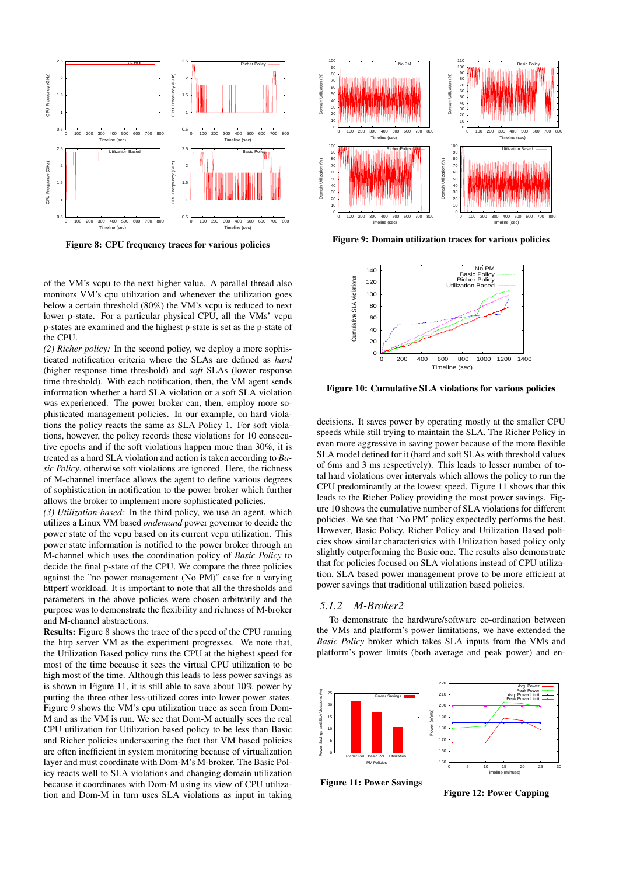

Figure 8: CPU frequency traces for various policies

of the VM's vcpu to the next higher value. A parallel thread also monitors VM's cpu utilization and whenever the utilization goes below a certain threshold (80%) the VM's vcpu is reduced to next lower p-state. For a particular physical CPU, all the VMs' vcpu p-states are examined and the highest p-state is set as the p-state of the CPU.

*(2) Richer policy:* In the second policy, we deploy a more sophisticated notification criteria where the SLAs are defined as *hard* (higher response time threshold) and *soft* SLAs (lower response time threshold). With each notification, then, the VM agent sends information whether a hard SLA violation or a soft SLA violation was experienced. The power broker can, then, employ more sophisticated management policies. In our example, on hard violations the policy reacts the same as SLA Policy 1. For soft violations, however, the policy records these violations for 10 consecutive epochs and if the soft violations happen more than 30%, it is treated as a hard SLA violation and action is taken according to *Basic Policy*, otherwise soft violations are ignored. Here, the richness of M-channel interface allows the agent to define various degrees of sophistication in notification to the power broker which further allows the broker to implement more sophisticated policies.

*(3) Utilization-based:* In the third policy, we use an agent, which utilizes a Linux VM based *ondemand* power governor to decide the power state of the vcpu based on its current vcpu utilization. This power state information is notified to the power broker through an M-channel which uses the coordination policy of *Basic Policy* to decide the final p-state of the CPU. We compare the three policies against the "no power management (No PM)" case for a varying httperf workload. It is important to note that all the thresholds and parameters in the above policies were chosen arbitrarily and the purpose was to demonstrate the flexibility and richness of M-broker and M-channel abstractions.

Results: Figure 8 shows the trace of the speed of the CPU running the http server VM as the experiment progresses. We note that, the Utilization Based policy runs the CPU at the highest speed for most of the time because it sees the virtual CPU utilization to be high most of the time. Although this leads to less power savings as is shown in Figure 11, it is still able to save about 10% power by putting the three other less-utilized cores into lower power states. Figure 9 shows the VM's cpu utilization trace as seen from Dom-M and as the VM is run. We see that Dom-M actually sees the real CPU utilization for Utilization based policy to be less than Basic and Richer policies underscoring the fact that VM based policies are often inefficient in system monitoring because of virtualization layer and must coordinate with Dom-M's M-broker. The Basic Policy reacts well to SLA violations and changing domain utilization because it coordinates with Dom-M using its view of CPU utilization and Dom-M in turn uses SLA violations as input in taking



Figure 9: Domain utilization traces for various policies



Figure 10: Cumulative SLA violations for various policies

decisions. It saves power by operating mostly at the smaller CPU speeds while still trying to maintain the SLA. The Richer Policy in even more aggressive in saving power because of the more flexible SLA model defined for it (hard and soft SLAs with threshold values of 6ms and 3 ms respectively). This leads to lesser number of total hard violations over intervals which allows the policy to run the CPU predominantly at the lowest speed. Figure 11 shows that this leads to the Richer Policy providing the most power savings. Figure 10 shows the cumulative number of SLA violations for different policies. We see that 'No PM' policy expectedly performs the best. However, Basic Policy, Richer Policy and Utilization Based policies show similar characteristics with Utilization based policy only slightly outperforming the Basic one. The results also demonstrate that for policies focused on SLA violations instead of CPU utilization, SLA based power management prove to be more efficient at power savings that traditional utilization based policies.

#### *5.1.2 M-Broker2*

To demonstrate the hardware/software co-ordination between the VMs and platform's power limitations, we have extended the *Basic Policy* broker which takes SLA inputs from the VMs and platform's power limits (both average and peak power) and en-



Figure 11: Power Savings

Figure 12: Power Capping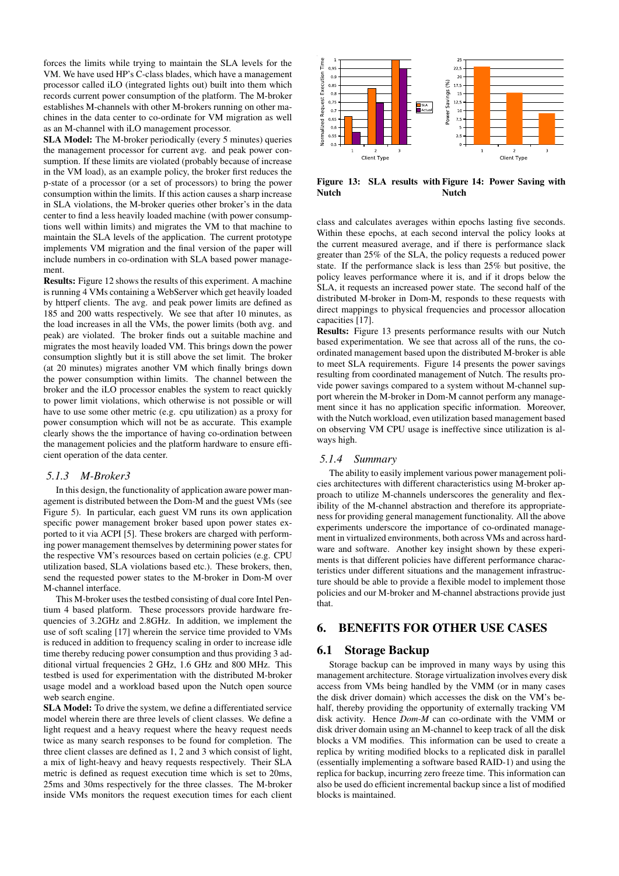forces the limits while trying to maintain the SLA levels for the VM. We have used HP's C-class blades, which have a management processor called iLO (integrated lights out) built into them which records current power consumption of the platform. The M-broker establishes M-channels with other M-brokers running on other machines in the data center to co-ordinate for VM migration as well as an M-channel with iLO management processor.

SLA Model: The M-broker periodically (every 5 minutes) queries the management processor for current avg. and peak power consumption. If these limits are violated (probably because of increase in the VM load), as an example policy, the broker first reduces the p-state of a processor (or a set of processors) to bring the power consumption within the limits. If this action causes a sharp increase in SLA violations, the M-broker queries other broker's in the data center to find a less heavily loaded machine (with power consumptions well within limits) and migrates the VM to that machine to maintain the SLA levels of the application. The current prototype implements VM migration and the final version of the paper will include numbers in co-ordination with SLA based power management.

Results: Figure 12 shows the results of this experiment. A machine is running 4 VMs containing a WebServer which get heavily loaded by httperf clients. The avg. and peak power limits are defined as 185 and 200 watts respectively. We see that after 10 minutes, as the load increases in all the VMs, the power limits (both avg. and peak) are violated. The broker finds out a suitable machine and migrates the most heavily loaded VM. This brings down the power consumption slightly but it is still above the set limit. The broker (at 20 minutes) migrates another VM which finally brings down the power consumption within limits. The channel between the broker and the iLO processor enables the system to react quickly to power limit violations, which otherwise is not possible or will have to use some other metric (e.g. cpu utilization) as a proxy for power consumption which will not be as accurate. This example clearly shows the the importance of having co-ordination between the management policies and the platform hardware to ensure efficient operation of the data center.

#### *5.1.3 M-Broker3*

In this design, the functionality of application aware power management is distributed between the Dom-M and the guest VMs (see Figure 5). In particular, each guest VM runs its own application specific power management broker based upon power states exported to it via ACPI [5]. These brokers are charged with performing power management themselves by determining power states for the respective VM's resources based on certain policies (e.g. CPU utilization based, SLA violations based etc.). These brokers, then, send the requested power states to the M-broker in Dom-M over M-channel interface.

This M-broker uses the testbed consisting of dual core Intel Pentium 4 based platform. These processors provide hardware frequencies of 3.2GHz and 2.8GHz. In addition, we implement the use of soft scaling [17] wherein the service time provided to VMs is reduced in addition to frequency scaling in order to increase idle time thereby reducing power consumption and thus providing 3 additional virtual frequencies 2 GHz, 1.6 GHz and 800 MHz. This testbed is used for experimentation with the distributed M-broker usage model and a workload based upon the Nutch open source web search engine.

SLA Model: To drive the system, we define a differentiated service model wherein there are three levels of client classes. We define a light request and a heavy request where the heavy request needs twice as many search responses to be found for completion. The three client classes are defined as 1, 2 and 3 which consist of light, a mix of light-heavy and heavy requests respectively. Their SLA metric is defined as request execution time which is set to 20ms, 25ms and 30ms respectively for the three classes. The M-broker inside VMs monitors the request execution times for each client



Figure 13: SLA results with Figure 14: Power Saving with Nutch Nutch

class and calculates averages within epochs lasting five seconds. Within these epochs, at each second interval the policy looks at the current measured average, and if there is performance slack greater than 25% of the SLA, the policy requests a reduced power state. If the performance slack is less than 25% but positive, the policy leaves performance where it is, and if it drops below the SLA, it requests an increased power state. The second half of the distributed M-broker in Dom-M, responds to these requests with direct mappings to physical frequencies and processor allocation capacities [17].

Results: Figure 13 presents performance results with our Nutch based experimentation. We see that across all of the runs, the coordinated management based upon the distributed M-broker is able to meet SLA requirements. Figure 14 presents the power savings resulting from coordinated management of Nutch. The results provide power savings compared to a system without M-channel support wherein the M-broker in Dom-M cannot perform any management since it has no application specific information. Moreover, with the Nutch workload, even utilization based management based on observing VM CPU usage is ineffective since utilization is always high.

## *5.1.4 Summary*

The ability to easily implement various power management policies architectures with different characteristics using M-broker approach to utilize M-channels underscores the generality and flexibility of the M-channel abstraction and therefore its appropriateness for providing general management functionality. All the above experiments underscore the importance of co-ordinated management in virtualized environments, both across VMs and across hardware and software. Another key insight shown by these experiments is that different policies have different performance characteristics under different situations and the management infrastructure should be able to provide a flexible model to implement those policies and our M-broker and M-channel abstractions provide just that.

# 6. BENEFITS FOR OTHER USE CASES

#### 6.1 Storage Backup

Storage backup can be improved in many ways by using this management architecture. Storage virtualization involves every disk access from VMs being handled by the VMM (or in many cases the disk driver domain) which accesses the disk on the VM's behalf, thereby providing the opportunity of externally tracking VM disk activity. Hence *Dom-M* can co-ordinate with the VMM or disk driver domain using an M-channel to keep track of all the disk blocks a VM modifies. This information can be used to create a replica by writing modified blocks to a replicated disk in parallel (essentially implementing a software based RAID-1) and using the replica for backup, incurring zero freeze time. This information can also be used do efficient incremental backup since a list of modified blocks is maintained.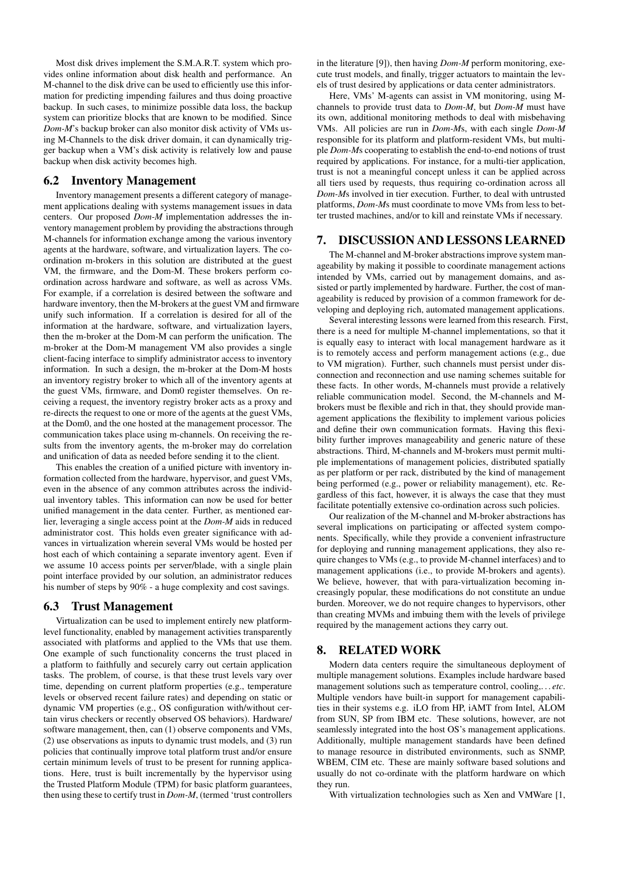Most disk drives implement the S.M.A.R.T. system which provides online information about disk health and performance. An M-channel to the disk drive can be used to efficiently use this information for predicting impending failures and thus doing proactive backup. In such cases, to minimize possible data loss, the backup system can prioritize blocks that are known to be modified. Since *Dom-M*'s backup broker can also monitor disk activity of VMs using M-Channels to the disk driver domain, it can dynamically trigger backup when a VM's disk activity is relatively low and pause backup when disk activity becomes high.

#### 6.2 Inventory Management

Inventory management presents a different category of management applications dealing with systems management issues in data centers. Our proposed *Dom-M* implementation addresses the inventory management problem by providing the abstractions through M-channels for information exchange among the various inventory agents at the hardware, software, and virtualization layers. The coordination m-brokers in this solution are distributed at the guest VM, the firmware, and the Dom-M. These brokers perform coordination across hardware and software, as well as across VMs. For example, if a correlation is desired between the software and hardware inventory, then the M-brokers at the guest VM and firmware unify such information. If a correlation is desired for all of the information at the hardware, software, and virtualization layers, then the m-broker at the Dom-M can perform the unification. The m-broker at the Dom-M management VM also provides a single client-facing interface to simplify administrator access to inventory information. In such a design, the m-broker at the Dom-M hosts an inventory registry broker to which all of the inventory agents at the guest VMs, firmware, and Dom0 register themselves. On receiving a request, the inventory registry broker acts as a proxy and re-directs the request to one or more of the agents at the guest VMs, at the Dom0, and the one hosted at the management processor. The communication takes place using m-channels. On receiving the results from the inventory agents, the m-broker may do correlation and unification of data as needed before sending it to the client.

This enables the creation of a unified picture with inventory information collected from the hardware, hypervisor, and guest VMs, even in the absence of any common attributes across the individual inventory tables. This information can now be used for better unified management in the data center. Further, as mentioned earlier, leveraging a single access point at the *Dom-M* aids in reduced administrator cost. This holds even greater significance with advances in virtualization wherein several VMs would be hosted per host each of which containing a separate inventory agent. Even if we assume 10 access points per server/blade, with a single plain point interface provided by our solution, an administrator reduces his number of steps by 90% - a huge complexity and cost savings.

#### 6.3 Trust Management

Virtualization can be used to implement entirely new platformlevel functionality, enabled by management activities transparently associated with platforms and applied to the VMs that use them. One example of such functionality concerns the trust placed in a platform to faithfully and securely carry out certain application tasks. The problem, of course, is that these trust levels vary over time, depending on current platform properties (e.g., temperature levels or observed recent failure rates) and depending on static or dynamic VM properties (e.g., OS configuration with/without certain virus checkers or recently observed OS behaviors). Hardware/ software management, then, can (1) observe components and VMs, (2) use observations as inputs to dynamic trust models, and (3) run policies that continually improve total platform trust and/or ensure certain minimum levels of trust to be present for running applications. Here, trust is built incrementally by the hypervisor using the Trusted Platform Module (TPM) for basic platform guarantees, then using these to certify trust in *Dom-M*, (termed 'trust controllers

in the literature [9]), then having *Dom-M* perform monitoring, execute trust models, and finally, trigger actuators to maintain the levels of trust desired by applications or data center administrators.

Here, VMs' M-agents can assist in VM monitoring, using Mchannels to provide trust data to *Dom-M*, but *Dom-M* must have its own, additional monitoring methods to deal with misbehaving VMs. All policies are run in *Dom-M*s, with each single *Dom-M* responsible for its platform and platform-resident VMs, but multiple *Dom-M*s cooperating to establish the end-to-end notions of trust required by applications. For instance, for a multi-tier application, trust is not a meaningful concept unless it can be applied across all tiers used by requests, thus requiring co-ordination across all *Dom-M*s involved in tier execution. Further, to deal with untrusted platforms, *Dom-M*s must coordinate to move VMs from less to better trusted machines, and/or to kill and reinstate VMs if necessary.

## 7. DISCUSSION AND LESSONS LEARNED

The M-channel and M-broker abstractions improve system manageability by making it possible to coordinate management actions intended by VMs, carried out by management domains, and assisted or partly implemented by hardware. Further, the cost of manageability is reduced by provision of a common framework for developing and deploying rich, automated management applications.

Several interesting lessons were learned from this research. First, there is a need for multiple M-channel implementations, so that it is equally easy to interact with local management hardware as it is to remotely access and perform management actions (e.g., due to VM migration). Further, such channels must persist under disconnection and reconnection and use naming schemes suitable for these facts. In other words, M-channels must provide a relatively reliable communication model. Second, the M-channels and Mbrokers must be flexible and rich in that, they should provide management applications the flexibility to implement various policies and define their own communication formats. Having this flexibility further improves manageability and generic nature of these abstractions. Third, M-channels and M-brokers must permit multiple implementations of management policies, distributed spatially as per platform or per rack, distributed by the kind of management being performed (e.g., power or reliability management), etc. Regardless of this fact, however, it is always the case that they must facilitate potentially extensive co-ordination across such policies.

Our realization of the M-channel and M-broker abstractions has several implications on participating or affected system components. Specifically, while they provide a convenient infrastructure for deploying and running management applications, they also require changes to VMs (e.g., to provide M-channel interfaces) and to management applications (i.e., to provide M-brokers and agents). We believe, however, that with para-virtualization becoming increasingly popular, these modifications do not constitute an undue burden. Moreover, we do not require changes to hypervisors, other than creating MVMs and imbuing them with the levels of privilege required by the management actions they carry out.

#### 8. RELATED WORK

Modern data centers require the simultaneous deployment of multiple management solutions. Examples include hardware based management solutions such as temperature control, cooling,. . . *etc*. Multiple vendors have built-in support for management capabilities in their systems e.g. iLO from HP, iAMT from Intel, ALOM from SUN, SP from IBM etc. These solutions, however, are not seamlessly integrated into the host OS's management applications. Additionally, multiple management standards have been defined to manage resource in distributed environments, such as SNMP, WBEM, CIM etc. These are mainly software based solutions and usually do not co-ordinate with the platform hardware on which they run.

With virtualization technologies such as Xen and VMWare [1,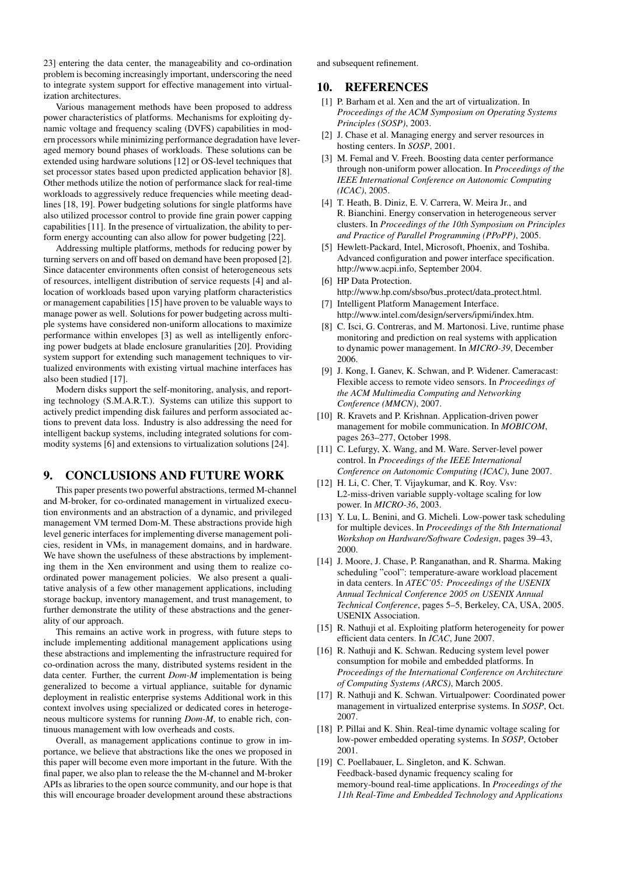23] entering the data center, the manageability and co-ordination problem is becoming increasingly important, underscoring the need to integrate system support for effective management into virtualization architectures.

Various management methods have been proposed to address power characteristics of platforms. Mechanisms for exploiting dynamic voltage and frequency scaling (DVFS) capabilities in modern processors while minimizing performance degradation have leveraged memory bound phases of workloads. These solutions can be extended using hardware solutions [12] or OS-level techniques that set processor states based upon predicted application behavior [8]. Other methods utilize the notion of performance slack for real-time workloads to aggressively reduce frequencies while meeting deadlines [18, 19]. Power budgeting solutions for single platforms have also utilized processor control to provide fine grain power capping capabilities [11]. In the presence of virtualization, the ability to perform energy accounting can also allow for power budgeting [22].

Addressing multiple platforms, methods for reducing power by turning servers on and off based on demand have been proposed [2]. Since datacenter environments often consist of heterogeneous sets of resources, intelligent distribution of service requests [4] and allocation of workloads based upon varying platform characteristics or management capabilities [15] have proven to be valuable ways to manage power as well. Solutions for power budgeting across multiple systems have considered non-uniform allocations to maximize performance within envelopes [3] as well as intelligently enforcing power budgets at blade enclosure granularities [20]. Providing system support for extending such management techniques to virtualized environments with existing virtual machine interfaces has also been studied [17].

Modern disks support the self-monitoring, analysis, and reporting technology (S.M.A.R.T.). Systems can utilize this support to actively predict impending disk failures and perform associated actions to prevent data loss. Industry is also addressing the need for intelligent backup systems, including integrated solutions for commodity systems [6] and extensions to virtualization solutions [24].

# 9. CONCLUSIONS AND FUTURE WORK

This paper presents two powerful abstractions, termed M-channel and M-broker, for co-ordinated management in virtualized execution environments and an abstraction of a dynamic, and privileged management VM termed Dom-M. These abstractions provide high level generic interfaces for implementing diverse management policies, resident in VMs, in management domains, and in hardware. We have shown the usefulness of these abstractions by implementing them in the Xen environment and using them to realize coordinated power management policies. We also present a qualitative analysis of a few other management applications, including storage backup, inventory management, and trust management, to further demonstrate the utility of these abstractions and the generality of our approach.

This remains an active work in progress, with future steps to include implementing additional management applications using these abstractions and implementing the infrastructure required for co-ordination across the many, distributed systems resident in the data center. Further, the current *Dom-M* implementation is being generalized to become a virtual appliance, suitable for dynamic deployment in realistic enterprise systems Additional work in this context involves using specialized or dedicated cores in heterogeneous multicore systems for running *Dom-M*, to enable rich, continuous management with low overheads and costs.

Overall, as management applications continue to grow in importance, we believe that abstractions like the ones we proposed in this paper will become even more important in the future. With the final paper, we also plan to release the the M-channel and M-broker APIs as libraries to the open source community, and our hope is that this will encourage broader development around these abstractions

and subsequent refinement.

# 10. REFERENCES

- [1] P. Barham et al. Xen and the art of virtualization. In *Proceedings of the ACM Symposium on Operating Systems Principles (SOSP)*, 2003.
- [2] J. Chase et al. Managing energy and server resources in hosting centers. In *SOSP*, 2001.
- [3] M. Femal and V. Freeh. Boosting data center performance through non-uniform power allocation. In *Proceedings of the IEEE International Conference on Autonomic Computing (ICAC)*, 2005.
- [4] T. Heath, B. Diniz, E. V. Carrera, W. Meira Jr., and R. Bianchini. Energy conservation in heterogeneous server clusters. In *Proceedings of the 10th Symposium on Principles and Practice of Parallel Programming (PPoPP)*, 2005.
- [5] Hewlett-Packard, Intel, Microsoft, Phoenix, and Toshiba. Advanced configuration and power interface specification. http://www.acpi.info, September 2004.
- [6] HP Data Protection. http://www.hp.com/sbso/bus\_protect/data\_protect.html. [7] Intelligent Platform Management Interface.
- http://www.intel.com/design/servers/ipmi/index.htm.
- [8] C. Isci, G. Contreras, and M. Martonosi. Live, runtime phase monitoring and prediction on real systems with application to dynamic power management. In *MICRO-39*, December 2006.
- [9] J. Kong, I. Ganev, K. Schwan, and P. Widener. Cameracast: Flexible access to remote video sensors. In *Proceedings of the ACM Multimedia Computing and Networking Conference (MMCN)*, 2007.
- [10] R. Kravets and P. Krishnan. Application-driven power management for mobile communication. In *MOBICOM*, pages 263–277, October 1998.
- [11] C. Lefurgy, X. Wang, and M. Ware. Server-level power control. In *Proceedings of the IEEE International Conference on Autonomic Computing (ICAC)*, June 2007.
- [12] H. Li, C. Cher, T. Vijaykumar, and K. Roy. Vsv: L2-miss-driven variable supply-voltage scaling for low power. In *MICRO-36*, 2003.
- [13] Y. Lu, L. Benini, and G. Micheli. Low-power task scheduling for multiple devices. In *Proceedings of the 8th International Workshop on Hardware/Software Codesign*, pages 39–43, 2000.
- [14] J. Moore, J. Chase, P. Ranganathan, and R. Sharma. Making scheduling "cool": temperature-aware workload placement in data centers. In *ATEC'05: Proceedings of the USENIX Annual Technical Conference 2005 on USENIX Annual Technical Conference*, pages 5–5, Berkeley, CA, USA, 2005. USENIX Association.
- [15] R. Nathuji et al. Exploiting platform heterogeneity for power efficient data centers. In *ICAC*, June 2007.
- [16] R. Nathuji and K. Schwan. Reducing system level power consumption for mobile and embedded platforms. In *Proceedings of the International Conference on Architecture of Computing Systems (ARCS)*, March 2005.
- [17] R. Nathuji and K. Schwan. Virtualpower: Coordinated power management in virtualized enterprise systems. In *SOSP*, Oct. 2007.
- [18] P. Pillai and K. Shin. Real-time dynamic voltage scaling for low-power embedded operating systems. In *SOSP*, October 2001.
- [19] C. Poellabauer, L. Singleton, and K. Schwan. Feedback-based dynamic frequency scaling for memory-bound real-time applications. In *Proceedings of the 11th Real-Time and Embedded Technology and Applications*